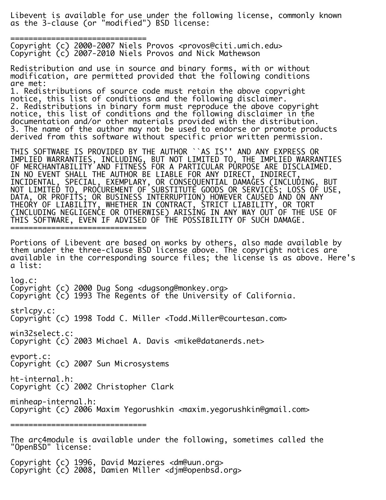Libevent is available for use under the following license, commonly known as the 3-clause (or "modified") BSD license:

============================== Copyright (c) 2000-2007 Niels Provos <provos@citi.umich.edu> Copyright (c) 2007-2010 Niels Provos and Nick Mathewson

Redistribution and use in source and binary forms, with or without modification, are permitted provided that the following conditions are met:

1. Redistributions of source code must retain the above copyright notice, this list of conditions and the following disclaimer. 2. Redistributions in binary form must reproduce the above copyright notice, this list of conditions and the following disclaimer in the documentation and/or other materials provided with the distribution. 3. The name of the author may not be used to endorse or promote products derived from this software without specific prior written permission.

THIS SOFTWARE IS PROVIDED BY THE AUTHOR ``AS IS'' AND ANY EXPRESS OR IMPLIED WARRANTIES, INCLUDING, BUT NOT LIMITED TO, THE IMPLIED WARRANTIES OF MERCHANTABILITY AND FITNESS FOR A PARTICULAR PURPOSE ARE DISCLAIMED. IN NO EVENT SHALL THE AUTHOR BE LIABLE FOR ANY DIRECT, INDIRECT, INCIDENTAL, SPECIAL, EXEMPLARY, OR CONSEQUENTIAL DAMAGES (INCLUDING, BUT NOT LIMITED TO, PROCUREMENT OF SUBSTITUTE GOODS OR SERVICES; LOSS OF USE, DATA, OR PROFITS; OR BUSINESS INTERRUPTION) HOWEVER CAUSED AND ON ANY THEORY OF LIABILITY, WHETHER IN CONTRACT, STRICT LIABILITY, OR TORT (INCLUDING NEGLIGENCE OR OTHERWISE) ARISING IN ANY WAY OUT OF THE USE OF THIS SOFTWARE, EVEN IF ADVISED OF THE POSSIBILITY OF SUCH DAMAGE. ==============================

Portions of Libevent are based on works by others, also made available by them under the three-clause BSD license above. The copyright notices are available in the corresponding source files; the license is as above. Here's a list:

log.c: Copyright (c) 2000 Dug Song <dugsong@monkey.org> Copyright (c) 1993 The Regents of the University of California. strlcpy.c: Copyright (c) 1998 Todd C. Miller <Todd.Miller@courtesan.com> win32select.c: Copyright (c) 2003 Michael A. Davis <mike@datanerds.net> evport.c: Copyright (c) 2007 Sun Microsystems ht-internal.h: Copyright (c) 2002 Christopher Clark minheap-internal.h: Copyright (c) 2006 Maxim Yegorushkin <maxim.yegorushkin@gmail.com> ============================== The arc4module is available under the following, sometimes called the "OpenBSD" license:

Copyright (c) 1996, David Mazieres <dm@uun.org> Copyright (c) 2008, Damien Miller <djm@openbsd.org>